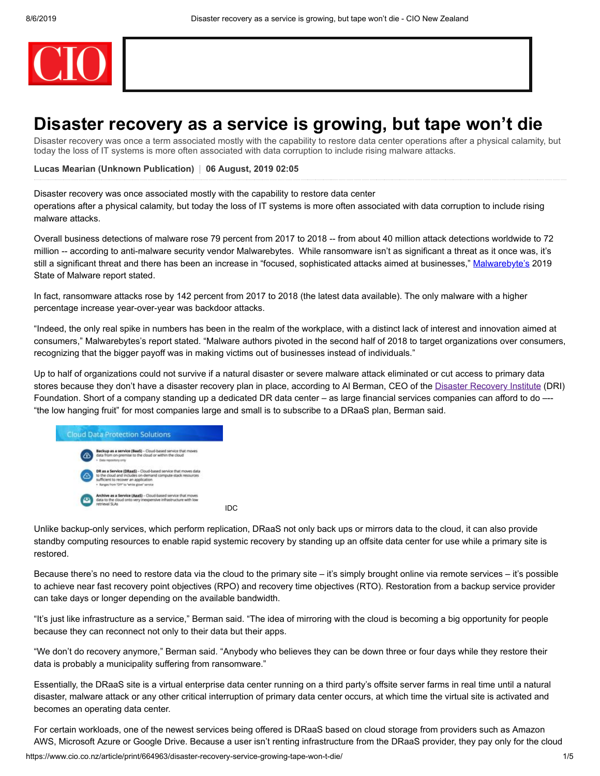

# **Disaster recovery as a service is growing, but tape won't die**

Disaster recovery was once a term associated mostly with the capability to restore data center operations after a physical calamity, but today the loss of IT systems is more often associated with data corruption to include rising malware attacks.

**[Lucas Mearian](https://www.cio.co.nz/author/989982425/lucas-mearian/articles) (Unknown Publication) 06 August, 2019 02:05**

Disaster recovery was once associated mostly with the capability to restore data center

operations after a physical calamity, but today the loss of IT systems is more often associated with data corruption to include rising malware attacks.

Overall business detections of malware rose 79 percent from 2017 to 2018 -- from about 40 million attack detections worldwide to 72 million -- according to anti-malware security vendor Malwarebytes. While ransomware isn't as significant a threat as it once was, it's still a significant threat and there has been an increase in "focused, sophisticated attacks aimed at businesses," [Malwarebyte's](https://resources.malwarebytes.com/files/2019/01/Malwarebytes-Labs-2019-State-of-Malware-Report-2.pdf) 2019 State of Malware report stated.

In fact, ransomware attacks rose by 142 percent from 2017 to 2018 (the latest data available). The only malware with a higher percentage increase year-over-year was backdoor attacks.

"Indeed, the only real spike in numbers has been in the realm of the workplace, with a distinct lack of interest and innovation aimed at consumers," Malwarebytes's report stated. "Malware authors pivoted in the second half of 2018 to target organizations over consumers, recognizing that the bigger payoff was in making victims out of businesses instead of individuals."

Up to half of organizations could not survive if a natural disaster or severe malware attack eliminated or cut access to primary data stores because they don't have a disaster recovery plan in place, according to Al Berman, CEO of the [Disaster Recovery Institute](https://drii.org/) (DRI) Foundation. Short of a company standing up a dedicated DR data center – as large financial services companies can afford to do –-- "the low hanging fruit" for most companies large and small is to subscribe to a DRaaS plan, Berman said.



Unlike backup-only services, which perform replication, DRaaS not only back ups or mirrors data to the cloud, it can also provide standby computing resources to enable rapid systemic recovery by standing up an offsite data center for use while a primary site is restored.

Because there's no need to restore data via the cloud to the primary site – it's simply brought online via remote services – it's possible to achieve near fast recovery point objectives (RPO) and recovery time objectives (RTO). Restoration from a backup service provider can take days or longer depending on the available bandwidth.

"It's just like infrastructure as a service," Berman said. "The idea of mirroring with the cloud is becoming a big opportunity for people because they can reconnect not only to their data but their apps.

"We don't do recovery anymore," Berman said. "Anybody who believes they can be down three or four days while they restore their data is probably a municipality suffering from ransomware."

Essentially, the DRaaS site is a virtual enterprise data center running on a third party's offsite server farms in real time until a natural disaster, malware attack or any other critical interruption of primary data center occurs, at which time the virtual site is activated and becomes an operating data center.

https://www.cio.co.nz/article/print/664963/disaster-recovery-service-growing-tape-won-t-die/ 1/5 For certain workloads, one of the newest services being offered is DRaaS based on cloud storage from providers such as Amazon AWS, Microsoft Azure or Google Drive. Because a user isn't renting infrastructure from the DRaaS provider, they pay only for the cloud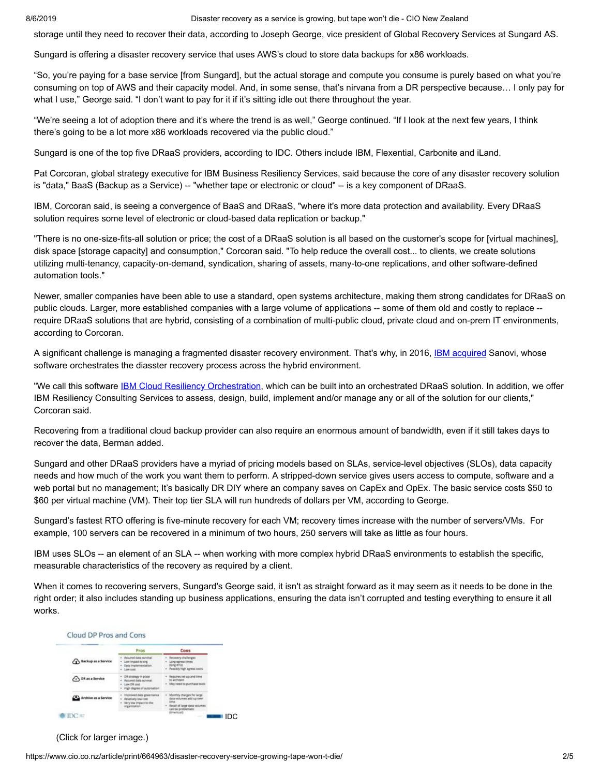8/6/2019 Disaster recovery as a service is growing, but tape won't die - CIO New Zealand

storage until they need to recover their data, according to Joseph George, vice president of Global Recovery Services at Sungard AS.

Sungard is offering a disaster recovery service that uses AWS's cloud to store data backups for x86 workloads.

"So, you're paying for a base service [from Sungard], but the actual storage and compute you consume is purely based on what you're consuming on top of AWS and their capacity model. And, in some sense, that's nirvana from a DR perspective because… I only pay for what I use," George said. "I don't want to pay for it if it's sitting idle out there throughout the year.

"We're seeing a lot of adoption there and it's where the trend is as well," George continued. "If I look at the next few years, I think there's going to be a lot more x86 workloads recovered via the public cloud."

Sungard is one of the top five DRaaS providers, according to IDC. Others include IBM, Flexential, Carbonite and iLand.

Pat Corcoran, global strategy executive for IBM Business Resiliency Services, said because the core of any disaster recovery solution is "data," BaaS (Backup as a Service) -- "whether tape or electronic or cloud" -- is a key component of DRaaS.

IBM, Corcoran said, is seeing a convergence of BaaS and DRaaS, "where it's more data protection and availability. Every DRaaS solution requires some level of electronic or cloud-based data replication or backup."

"There is no one-size-fits-all solution or price; the cost of a DRaaS solution is all based on the customer's scope for [virtual machines], disk space [storage capacity] and consumption," Corcoran said. "To help reduce the overall cost... to clients, we create solutions utilizing multi-tenancy, capacity-on-demand, syndication, sharing of assets, many-to-one replications, and other software-defined automation tools."

Newer, smaller companies have been able to use a standard, open systems architecture, making them strong candidates for DRaaS on public clouds. Larger, more established companies with a large volume of applications -- some of them old and costly to replace - require DRaaS solutions that are hybrid, consisting of a combination of multi-public cloud, private cloud and on-prem IT environments, according to Corcoran.

A significant challenge is managing a fragmented disaster recovery environment. That's why, in 2016, **IBM acquired** Sanovi, whose software orchestrates the diasster recovery process across the hybrid environment.

"We call this software [IBM Cloud Resiliency Orchestration](https://www.ibm.com/us-en/marketplace/disaster-recovery-orchestration), which can be built into an orchestrated DRaaS solution. In addition, we offer IBM Resiliency Consulting Services to assess, design, build, implement and/or manage any or all of the solution for our clients," Corcoran said.

Recovering from a traditional cloud backup provider can also require an enormous amount of bandwidth, even if it still takes days to recover the data, Berman added.

Sungard and other DRaaS providers have a myriad of pricing models based on SLAs, service-level objectives (SLOs), data capacity needs and how much of the work you want them to perform. A stripped-down service gives users access to compute, software and a web portal but no management; It's basically DR DIY where an company saves on CapEx and OpEx. The basic service costs \$50 to \$60 per virtual machine (VM). Their top tier SLA will run hundreds of dollars per VM, according to George.

Sungard's fastest RTO offering is five-minute recovery for each VM; recovery times increase with the number of servers/VMs. For example, 100 servers can be recovered in a minimum of two hours, 250 servers will take as little as four hours.

IBM uses SLOs -- an element of an SLA -- when working with more complex hybrid DRaaS environments to establish the specific, measurable characteristics of the recovery as required by a client.

When it comes to recovering servers, Sungard's George said, it isn't as straight forward as it may seem as it needs to be done in the right order; it also includes standing up business applications, ensuring the data isn't corrupted and testing everything to ensure it all works.



### (Click for larger image.)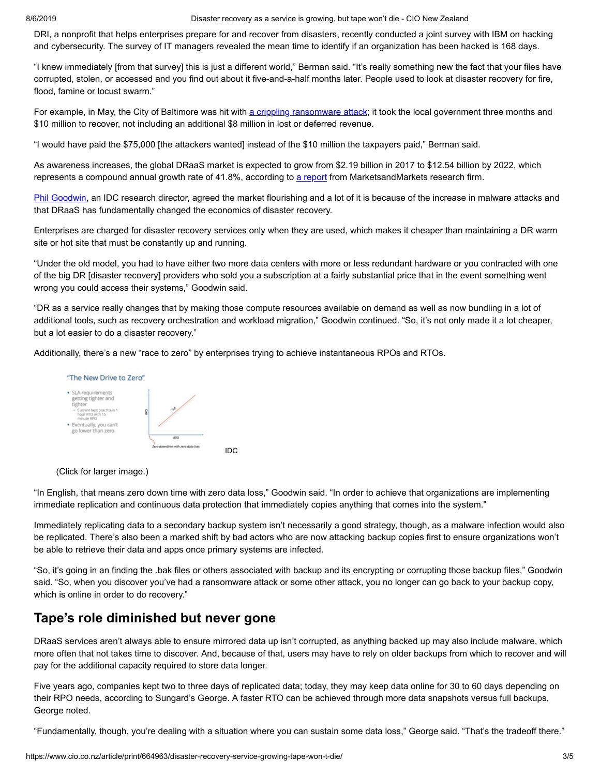8/6/2019 Disaster recovery as a service is growing, but tape won't die - CIO New Zealand

DRI, a nonprofit that helps enterprises prepare for and recover from disasters, recently conducted a joint survey with IBM on hacking and cybersecurity. The survey of IT managers revealed the mean time to identify if an organization has been hacked is 168 days.

"I knew immediately [from that survey] this is just a different world," Berman said. "It's really something new the fact that your files have corrupted, stolen, or accessed and you find out about it five-and-a-half months later. People used to look at disaster recovery for fire, flood, famine or locust swarm."

For example, in May, the City of Baltimore was hit with [a crippling ransomware attack;](https://www.baltimoresun.com/politics/bs-md-ci-ransomware-costs-20190625-story.html) it took the local government three months and \$10 million to recover, not including an additional \$8 million in lost or deferred revenue.

"I would have paid the \$75,000 [the attackers wanted] instead of the \$10 million the taxpayers paid," Berman said.

As awareness increases, the global DRaaS market is expected to grow from \$2.19 billion in 2017 to \$12.54 billion by 2022, which represents a compound annual growth rate of 41.8%, according to [a report](https://www.marketsandmarkets.com/Market-Reports/recovery-as-a-service-market-962.html) from MarketsandMarkets research firm.

[Phil Goodwin](https://www.idc.com/getdoc.jsp?containerId=PRF004412), an IDC research director, agreed the market flourishing and a lot of it is because of the increase in malware attacks and that DRaaS has fundamentally changed the economics of disaster recovery.

Enterprises are charged for disaster recovery services only when they are used, which makes it cheaper than maintaining a DR warm site or hot site that must be constantly up and running.

"Under the old model, you had to have either two more data centers with more or less redundant hardware or you contracted with one of the big DR [disaster recovery] providers who sold you a subscription at a fairly substantial price that in the event something went wrong you could access their systems," Goodwin said.

"DR as a service really changes that by making those compute resources available on demand as well as now bundling in a lot of additional tools, such as recovery orchestration and workload migration," Goodwin continued. "So, it's not only made it a lot cheaper, but a lot easier to do a disaster recovery."

Additionally, there's a new "race to zero" by enterprises trying to achieve instantaneous RPOs and RTOs.



(Click for larger image.)

"In English, that means zero down time with zero data loss," Goodwin said. "In order to achieve that organizations are implementing immediate replication and continuous data protection that immediately copies anything that comes into the system."

Immediately replicating data to a secondary backup system isn't necessarily a good strategy, though, as a malware infection would also be replicated. There's also been a marked shift by bad actors who are now attacking backup copies first to ensure organizations won't be able to retrieve their data and apps once primary systems are infected.

"So, it's going in an finding the .bak files or others associated with backup and its encrypting or corrupting those backup files," Goodwin said. "So, when you discover you've had a ransomware attack or some other attack, you no longer can go back to your backup copy, which is online in order to do recovery."

## **Tape's role diminished but never gone**

DRaaS services aren't always able to ensure mirrored data up isn't corrupted, as anything backed up may also include malware, which more often that not takes time to discover. And, because of that, users may have to rely on older backups from which to recover and will pay for the additional capacity required to store data longer.

Five years ago, companies kept two to three days of replicated data; today, they may keep data online for 30 to 60 days depending on their RPO needs, according to Sungard's George. A faster RTO can be achieved through more data snapshots versus full backups, George noted.

"Fundamentally, though, you're dealing with a situation where you can sustain some data loss," George said. "That's the tradeoff there."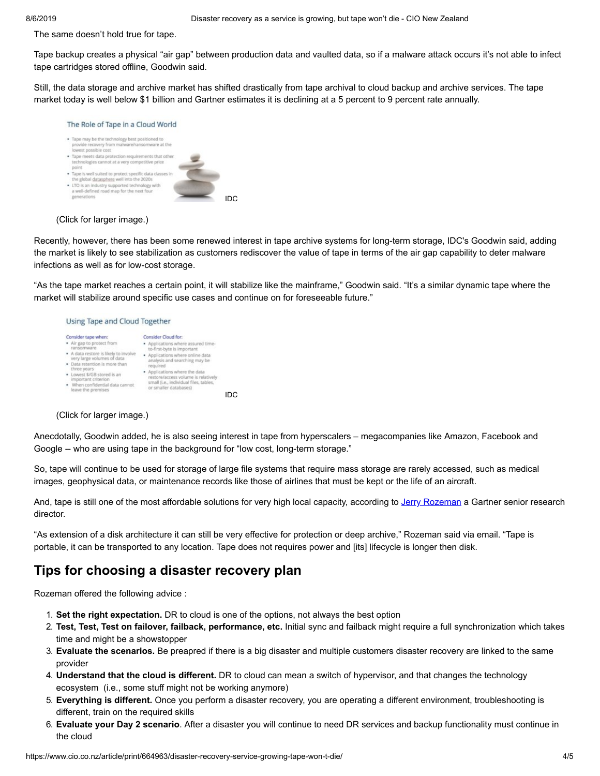The same doesn't hold true for tape.

Tape backup creates a physical "air gap" between production data and vaulted data, so if a malware attack occurs it's not able to infect tape cartridges stored offline, Goodwin said.

Still, the data storage and archive market has shifted drastically from tape archival to cloud backup and archive services. The tape market today is well below \$1 billion and Gartner estimates it is declining at a 5 percent to 9 percent rate annually.



### (Click for larger image.)

Recently, however, there has been some renewed interest in tape archive systems for long-term storage, IDC's Goodwin said, adding the market is likely to see stabilization as customers rediscover the value of tape in terms of the air gap capability to deter malware infections as well as for low-cost storage.

"As the tape market reaches a certain point, it will stabilize like the mainframe," Goodwin said. "It's a similar dynamic tape where the market will stabilize around specific use cases and continue on for foreseeable future."

### Using Tape and Cloud Together



### (Click for larger image.)

Anecdotally, Goodwin added, he is also seeing interest in tape from hyperscalers – megacompanies like Amazon, Facebook and Google -- who are using tape in the background for "low cost, long-term storage."

So, tape will continue to be used for storage of large file systems that require mass storage are rarely accessed, such as medical images, geophysical data, or maintenance records like those of airlines that must be kept or the life of an aircraft.

And, tape is still one of the most affordable solutions for very high local capacity, according to [Jerry Rozeman](https://www.gartner.com/analyst/56873/Jerry-Rozeman) a Gartner senior research director.

"As extension of a disk architecture it can still be very effective for protection or deep archive," Rozeman said via email. "Tape is portable, it can be transported to any location. Tape does not requires power and [its] lifecycle is longer then disk.

## **Tips for choosing a disaster recovery plan**

Rozeman offered the following advice :

- 1. **Set the right expectation.** DR to cloud is one of the options, not always the best option
- 2. **Test, Test, Test on failover, failback, performance, etc.** Initial sync and failback might require a full synchronization which takes time and might be a showstopper
- 3. **Evaluate the scenarios.** Be preapred if there is a big disaster and multiple customers disaster recovery are linked to the same provider
- 4. **Understand that the cloud is different.** DR to cloud can mean a switch of hypervisor, and that changes the technology ecosystem (i.e., some stuff might not be working anymore)
- 5. **Everything is different.** Once you perform a disaster recovery, you are operating a different environment, troubleshooting is different, train on the required skills
- 6. **Evaluate your Day 2 scenario**. After a disaster you will continue to need DR services and backup functionality must continue in the cloud